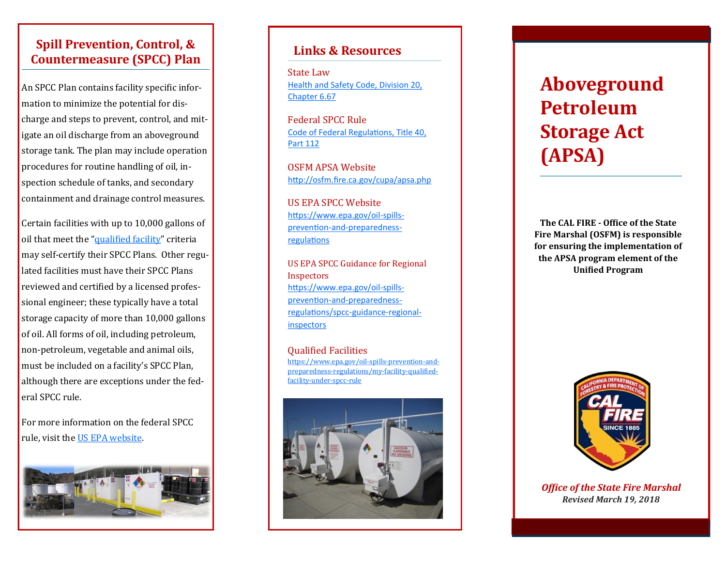## **Spill Prevention, Control, & Countermeasure (SPCC) Plan**

An SPCC Plan contains facility specific information to minimize the potential for discharge and steps to prevent, control, and mitigate an oil discharge from an aboveground storage tank. The plan may include operation procedures for routine handling of oil, inspection schedule of tanks, and secondary containment and drainage control measures.

Certain facilities with up to 10,000 gallons of oil that meet the ["qualified facility"](https://www.epa.gov/oil-spills-prevention-and-preparedness-regulations/my-facility-qualified-facility-under-spcc-rule) criteria may self-certify their SPCC Plans. Other regulated facilities must have their SPCC Plans reviewed and certified by a licensed professional engineer; these typically have a total storage capacity of more than 10,000 gallons of oil. All forms of oil, including petroleum, non-petroleum, vegetable and animal oils, must be included on a facility's SPCC Plan, although there are exceptions under the federal SPCC rule.

For more information on the federal SPCC rule, visit the [US EPA website.](https://www.epa.gov/oil-spills-prevention-and-preparedness-regulations)



### **Links & Resources**

State Law [Health and Safety Code, Division 20,](http://leginfo.legislature.ca.gov/faces/codes_displayText.xhtml?lawCode=HSC&division=20.&title=&part=&chapter=6.67.&article=)  [Chapter 6.67](http://leginfo.legislature.ca.gov/faces/codes_displayText.xhtml?lawCode=HSC&division=20.&title=&part=&chapter=6.67.&article=)

Federal SPCC Rule [Code of Federal Regulations, Title 40,](https://www.ecfr.gov/cgi-bin/text-idx?SID=133dd475195e5ca3f66047df8350145a&mc=true&node=pt40.24.112&rgn=div5)  [Part 112](https://www.ecfr.gov/cgi-bin/text-idx?SID=133dd475195e5ca3f66047df8350145a&mc=true&node=pt40.24.112&rgn=div5)

OSFM APSA Website <http://osfm.fire.ca.gov/cupa/apsa.php>

US EPA SPCC Website [https://www.epa.gov/oil](https://www.epa.gov/oil-spills-prevention-and-preparedness-regulations)-spillsprevention-and-[preparedness](https://www.epa.gov/oil-spills-prevention-and-preparedness-regulations)[regulations](https://www.epa.gov/oil-spills-prevention-and-preparedness-regulations)

US EPA SPCC Guidance for Regional **Inspectors** [https://www.epa.gov/oil](https://www.epa.gov/oil-spills-prevention-and-preparedness-regulations/spcc-guidance-regional-inspectors)-spillsprevention-and-[preparedness](https://www.epa.gov/oil-spills-prevention-and-preparedness-regulations/spcc-guidance-regional-inspectors)[regulations/spcc](https://www.epa.gov/oil-spills-prevention-and-preparedness-regulations/spcc-guidance-regional-inspectors)-guidance-regional[inspectors](https://www.epa.gov/oil-spills-prevention-and-preparedness-regulations/spcc-guidance-regional-inspectors)

Qualified Facilities [https://www.epa.gov/oil](https://www.epa.gov/oil-spills-prevention-and-preparedness-regulations/my-facility-qualified-facility-under-spcc-rule)-spills-prevention-andpreparedness-[regulations/my](https://www.epa.gov/oil-spills-prevention-and-preparedness-regulations/my-facility-qualified-facility-under-spcc-rule)-facility-qualified[facility](https://www.epa.gov/oil-spills-prevention-and-preparedness-regulations/my-facility-qualified-facility-under-spcc-rule)-under-spcc-rule



# **Aboveground Petroleum Storage Act (APSA)**

**The CAL FIRE - Office of the State Fire Marshal (OSFM) is responsible for ensuring the implementation of the APSA program element of the Unified Program**



*Office of the State Fire Marshal Revised March 19, 2018*